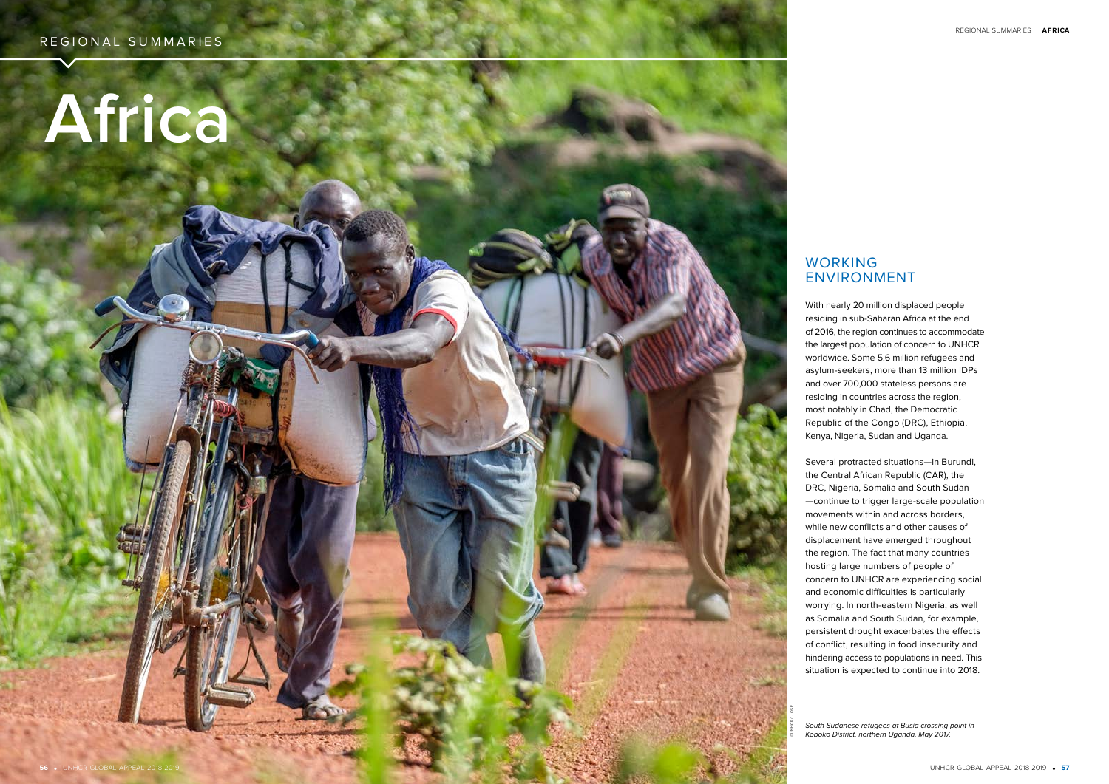# **Africa**

# WORKING ENVIRONMENT

With nearly 20 million displaced people residing in sub-Saharan Africa at the end of 2016, the region continues to accommodate the largest population of concern to UNHCR worldwide. Some 5.6 million refugees and asylum-seekers, more than 13 million IDPs and over 700,000 stateless persons are residing in countries across the region, most notably in Chad, the Democratic Republic of the Congo (DRC), Ethiopia, Kenya, Nigeria, Sudan and Uganda.

Several protracted situations—in Burundi, the Central African Republic (CAR), the DRC, Nigeria, Somalia and South Sudan —continue to trigger large-scale population movements within and across borders, while new conflicts and other causes of displacement have emerged throughout the region. The fact that many countries hosting large numbers of people of concern to UNHCR are experiencing social and economic difficulties is particularly worrying. In north-eastern Nigeria, as well as Somalia and South Sudan, for example, persistent drought exacerbates the effects of conflict, resulting in food insecurity and hindering access to populations in need. This situation is expected to continue into 2018.

South Sudanese refugees at Busia crossing point in Koboko District, northern Uganda, May 2017.

©UNHCR/ J.OSE

REGIONAL SUMMARIES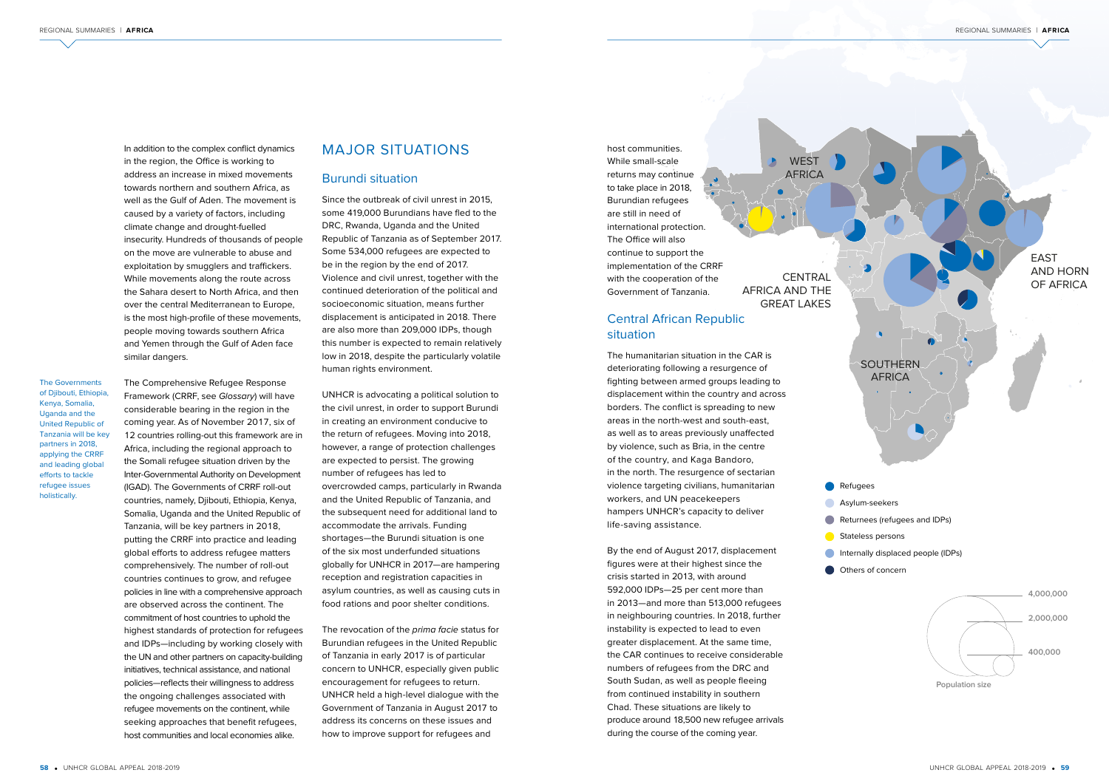

- **Refugees**
- **Asylum-seekers**
- Returnees (refugees and IDPs)
- **Stateless persons**
- **Internally displaced people (IDPs)**
- Others of concern

AFRICA AND THE GREAT LAKES

**WEST AFRICA** 



In addition to the complex conflict dynamics in the region, the Office is working to address an increase in mixed movements towards northern and southern Africa, as well as the Gulf of Aden. The movement is caused by a variety of factors, including climate change and drought-fuelled insecurity. Hundreds of thousands of people on the move are vulnerable to abuse and exploitation by smugglers and traffickers. While movements along the route across the Sahara desert to North Africa, and then over the central Mediterranean to Europe, is the most high-profile of these movements, people moving towards southern Africa and Yemen through the Gulf of Aden face similar dangers.

The Comprehensive Refugee Response Framework (CRRF, see Glossary) will have considerable bearing in the region in the coming year. As of November 2017, six of 12 countries rolling-out this framework are in Africa, including the regional approach to the Somali refugee situation driven by the Inter-Governmental Authority on Development (IGAD). The Governments of CRRF roll-out countries, namely, Djibouti, Ethiopia, Kenya, Somalia, Uganda and the United Republic of Tanzania, will be key partners in 2018, putting the CRRF into practice and leading global efforts to address refugee matters comprehensively. The number of roll-out countries continues to grow, and refugee policies in line with a comprehensive approach are observed across the continent. The commitment of host countries to uphold the highest standards of protection for refugees and IDPs—including by working closely with the UN and other partners on capacity-building initiatives, technical assistance, and national policies—reflects their willingness to address the ongoing challenges associated with refugee movements on the continent, while seeking approaches that benefit refugees, host communities and local economies alike.

host communities. While small-scale returns may continue to take place in 2018, Burundian refugees are still in need of international protection. The Office will also continue to support the implementation of the CRRF with the cooperation of the Government of Tanzania.

## Central African Republic situation

The revocation of the *prima facie* status for Burundian refugees in the United Republic of Tanzania in early 2017 is of particular concern to UNHCR, especially given public encouragement for refugees to return. UNHCR held a high-level dialogue with the Government of Tanzania in August 2017 to address its concerns on these issues and how to improve support for refugees and

The humanitarian situation in the CAR is deteriorating following a resurgence of fighting between armed groups leading to displacement within the country and across borders. The conflict is spreading to new areas in the north-west and south-east, as well as to areas previously unaffected by violence, such as Bria, in the centre of the country, and Kaga Bandoro, in the north. The resurgence of sectarian violence targeting civilians, humanitarian workers, and UN peacekeepers hampers UNHCR's capacity to deliver life-saving assistance.

By the end of August 2017, displacement figures were at their highest since the crisis started in 2013, with around 592,000 IDPs—25 per cent more than in 2013—and more than 513,000 refugees in neighbouring countries. In 2018, further instability is expected to lead to even greater displacement. At the same time, the CAR continues to receive considerable numbers of refugees from the DRC and South Sudan, as well as people fleeing from continued instability in southern Chad. These situations are likely to produce around 18,500 new refugee arrivals during the course of the coming year.

# MAJOR SITUATIONS

#### Burundi situation

Since the outbreak of civil unrest in 2015, some 419,000 Burundians have fled to the DRC, Rwanda, Uganda and the United Republic of Tanzania as of September 2017. Some 534,000 refugees are expected to be in the region by the end of 2017. Violence and civil unrest, together with the continued deterioration of the political and socioeconomic situation, means further displacement is anticipated in 2018. There are also more than 209,000 IDPs, though this number is expected to remain relatively low in 2018, despite the particularly volatile human rights environment.

UNHCR is advocating a political solution to the civil unrest, in order to support Burundi in creating an environment conducive to the return of refugees. Moving into 2018, however, a range of protection challenges are expected to persist. The growing number of refugees has led to overcrowded camps, particularly in Rwanda and the United Republic of Tanzania, and the subsequent need for additional land to accommodate the arrivals. Funding shortages—the Burundi situation is one of the six most underfunded situations globally for UNHCR in 2017—are hampering reception and registration capacities in asylum countries, as well as causing cuts in food rations and poor shelter conditions.

The Governments of Djibouti, Ethiopia, Kenya, Somalia, Uganda and the United Republic of Tanzania will be key partners in 2018, applying the CRRF and leading global efforts to tackle refugee issues holistically.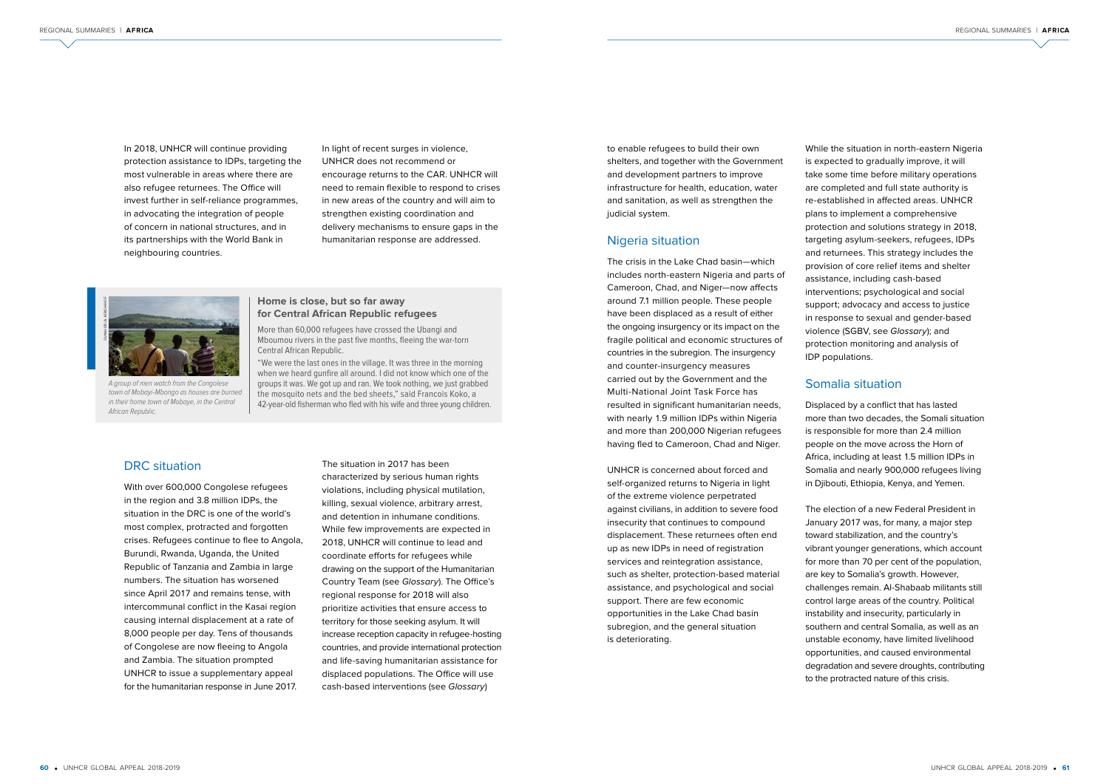In 2018, UNHCR will continue providing protection assistance to IDPs, targeting the most vulnerable in areas where there are also refugee returnees. The Office will invest further in self-reliance programmes, in advocating the integration of people of concern in national structures, and in its partnerships with the World Bank in neighbouring countries.

#### **Home is close, but so far away for Central African Republic refugees**

A group of men watch from the Congolese town of Mobayi-Mbongo as houses are burned in their home town of Mobaye, in the Central African Republic.

More than 60,000 refugees have crossed the Ubangi and Mboumou rivers in the past five months, fleeing the war-torn Central African Republic.

"We were the last ones in the village. It was three in the morning when we heard gunfire all around. I did not know which one of the groups it was. We got up and ran. We took nothing, we just grabbed the mosquito nets and the bed sheets," said Francois Koko, a 42-year-old fisherman who fled with his wife and three young children.



In light of recent surges in violence, UNHCR does not recommend or encourage returns to the CAR. UNHCR will need to remain flexible to respond to crises in new areas of the country and will aim to strengthen existing coordination and delivery mechanisms to ensure gaps in the humanitarian response are addressed.

#### DRC situation

With over 600,000 Congolese refugees in the region and 3.8 million IDPs, the situation in the DRC is one of the world's most complex, protracted and forgotten crises. Refugees continue to flee to Angola, Burundi, Rwanda, Uganda, the United Republic of Tanzania and Zambia in large numbers. The situation has worsened since April 2017 and remains tense, with intercommunal conflict in the Kasai region causing internal displacement at a rate of 8,000 people per day. Tens of thousands of Congolese are now fleeing to Angola and Zambia. The situation prompted UNHCR to issue a supplementary appeal for the humanitarian response in June 2017.

The situation in 2017 has been characterized by serious human rights violations, including physical mutilation, killing, sexual violence, arbitrary arrest, and detention in inhumane conditions. While few improvements are expected in 2018, UNHCR will continue to lead and coordinate efforts for refugees while drawing on the support of the Humanitarian Country Team (see Glossary). The Office's regional response for 2018 will also prioritize activities that ensure access to territory for those seeking asylum. It will increase reception capacity in refugee-hosting countries, and provide international protection and life-saving humanitarian assistance for displaced populations. The Office will use cash-based interventions (see Glossary)

to enable refugees to build their own shelters, and together with the Government and development partners to improve infrastructure for health, education, water and sanitation, as well as strengthen the judicial system.

#### Nigeria situation

The crisis in the Lake Chad basin—which includes north-eastern Nigeria and parts of Cameroon, Chad, and Niger—now affects around 7.1 million people. These people have been displaced as a result of either the ongoing insurgency or its impact on the fragile political and economic structures of countries in the subregion. The insurgency and counter-insurgency measures

carried out by the Government and the Multi-National Joint Task Force has resulted in significant humanitarian needs, with nearly 1.9 million IDPs within Nigeria and more than 200,000 Nigerian refugees having fled to Cameroon, Chad and Niger.

UNHCR is concerned about forced and self-organized returns to Nigeria in light of the extreme violence perpetrated against civilians, in addition to severe food insecurity that continues to compound displacement. These returnees often end up as new IDPs in need of registration services and reintegration assistance, such as shelter, protection-based material assistance, and psychological and social support. There are few economic opportunities in the Lake Chad basin subregion, and the general situation is deteriorating.

While the situation in north-eastern Nigeria is expected to gradually improve, it will take some time before military operations are completed and full state authority is re-established in affected areas. UNHCR plans to implement a comprehensive protection and solutions strategy in 2018, targeting asylum-seekers, refugees, IDPs and returnees. This strategy includes the provision of core relief items and shelter assistance, including cash-based interventions; psychological and social support; advocacy and access to justice in response to sexual and gender-based violence (SGBV, see Glossary); and protection monitoring and analysis of IDP populations.

# Somalia situation

Displaced by a conflict that has lasted more than two decades, the Somali situation is responsible for more than 2.4 million people on the move across the Horn of Africa, including at least 1.5 million IDPs in Somalia and nearly 900,000 refugees living in Djibouti, Ethiopia, Kenya, and Yemen.

The election of a new Federal President in January 2017 was, for many, a major step toward stabilization, and the country's vibrant younger generations, which account for more than 70 per cent of the population, are key to Somalia's growth. However, challenges remain. Al-Shabaab militants still control large areas of the country. Political instability and insecurity, particularly in southern and central Somalia, as well as an unstable economy, have limited livelihood opportunities, and caused environmental degradation and severe droughts, contributing to the protracted nature of this crisis.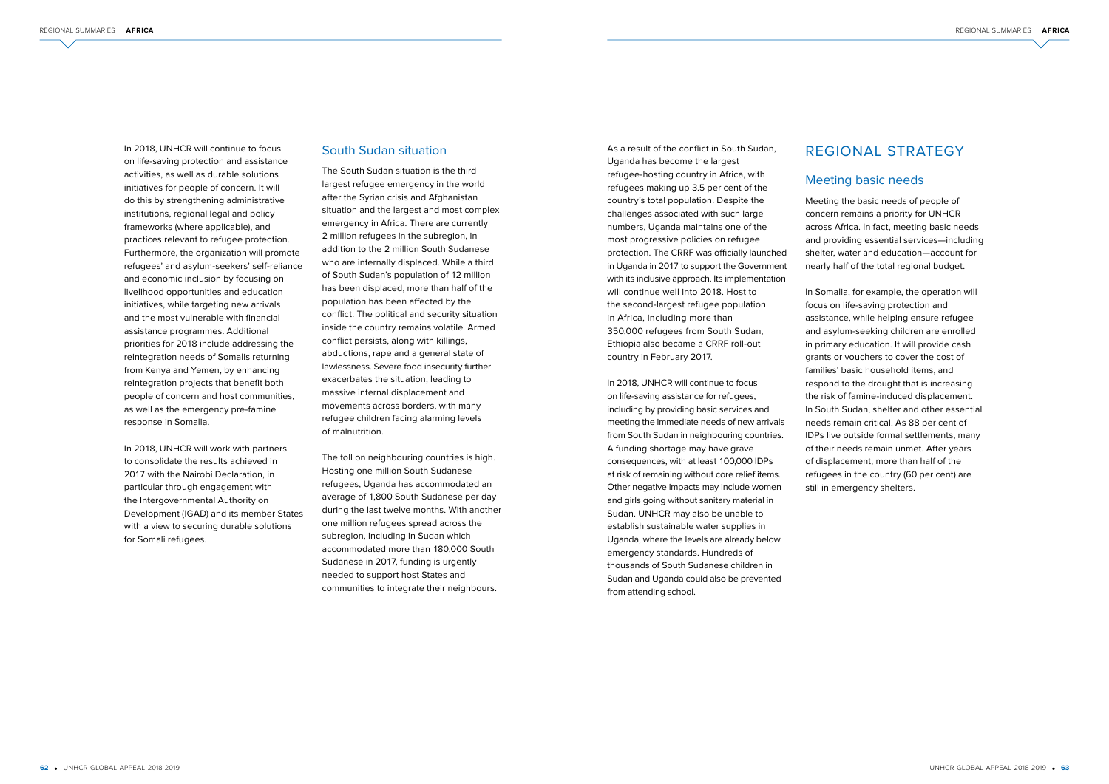In 2018, UNHCR will continue to focus on life-saving protection and assistance activities, as well as durable solutions initiatives for people of concern. It will do this by strengthening administrative institutions, regional legal and policy frameworks (where applicable), and practices relevant to refugee protection. Furthermore, the organization will promote refugees' and asylum-seekers' self-reliance and economic inclusion by focusing on livelihood opportunities and education initiatives, while targeting new arrivals and the most vulnerable with financial assistance programmes. Additional priorities for 2018 include addressing the reintegration needs of Somalis returning from Kenya and Yemen, by enhancing reintegration projects that benefit both people of concern and host communities, as well as the emergency pre-famine response in Somalia.

In 2018, UNHCR will work with partners to consolidate the results achieved in 2017 with the Nairobi Declaration, in particular through engagement with the Intergovernmental Authority on Development (IGAD) and its member States with a view to securing durable solutions for Somali refugees.

#### South Sudan situation

The South Sudan situation is the third largest refugee emergency in the world after the Syrian crisis and Afghanistan situation and the largest and most complex emergency in Africa. There are currently 2 million refugees in the subregion, in addition to the 2 million South Sudanese who are internally displaced. While a third of South Sudan's population of 12 million has been displaced, more than half of the population has been affected by the conflict. The political and security situation inside the country remains volatile. Armed conflict persists, along with killings, abductions, rape and a general state of lawlessness. Severe food insecurity further exacerbates the situation, leading to massive internal displacement and movements across borders, with many refugee children facing alarming levels of malnutrition.

The toll on neighbouring countries is high. Hosting one million South Sudanese refugees, Uganda has accommodated an average of 1,800 South Sudanese per day during the last twelve months. With another one million refugees spread across the subregion, including in Sudan which accommodated more than 180,000 South Sudanese in 2017, funding is urgently needed to support host States and communities to integrate their neighbours.

As a result of the conflict in South Sudan, Uganda has become the largest refugee-hosting country in Africa, with refugees making up 3.5 per cent of the country's total population. Despite the challenges associated with such large numbers, Uganda maintains one of the most progressive policies on refugee protection. The CRRF was officially launched in Uganda in 2017 to support the Government with its inclusive approach. Its implementation will continue well into 2018. Host to the second-largest refugee population in Africa, including more than 350,000 refugees from South Sudan, Ethiopia also became a CRRF roll-out country in February 2017.

In 2018, UNHCR will continue to focus on life-saving assistance for refugees, including by providing basic services and meeting the immediate needs of new arrivals from South Sudan in neighbouring countries. A funding shortage may have grave consequences, with at least 100,000 IDPs at risk of remaining without core relief items. Other negative impacts may include women and girls going without sanitary material in Sudan. UNHCR may also be unable to establish sustainable water supplies in Uganda, where the levels are already below emergency standards. Hundreds of thousands of South Sudanese children in Sudan and Uganda could also be prevented from attending school.

# REGIONAL STRATEGY

### Meeting basic needs

Meeting the basic needs of people of concern remains a priority for UNHCR across Africa. In fact, meeting basic needs and providing essential services—including shelter, water and education—account for nearly half of the total regional budget.

In Somalia, for example, the operation will focus on life-saving protection and assistance, while helping ensure refugee and asylum-seeking children are enrolled in primary education. It will provide cash grants or vouchers to cover the cost of families' basic household items, and respond to the drought that is increasing the risk of famine-induced displacement. In South Sudan, shelter and other essential needs remain critical. As 88 per cent of IDPs live outside formal settlements, many of their needs remain unmet. After years of displacement, more than half of the refugees in the country (60 per cent) are still in emergency shelters.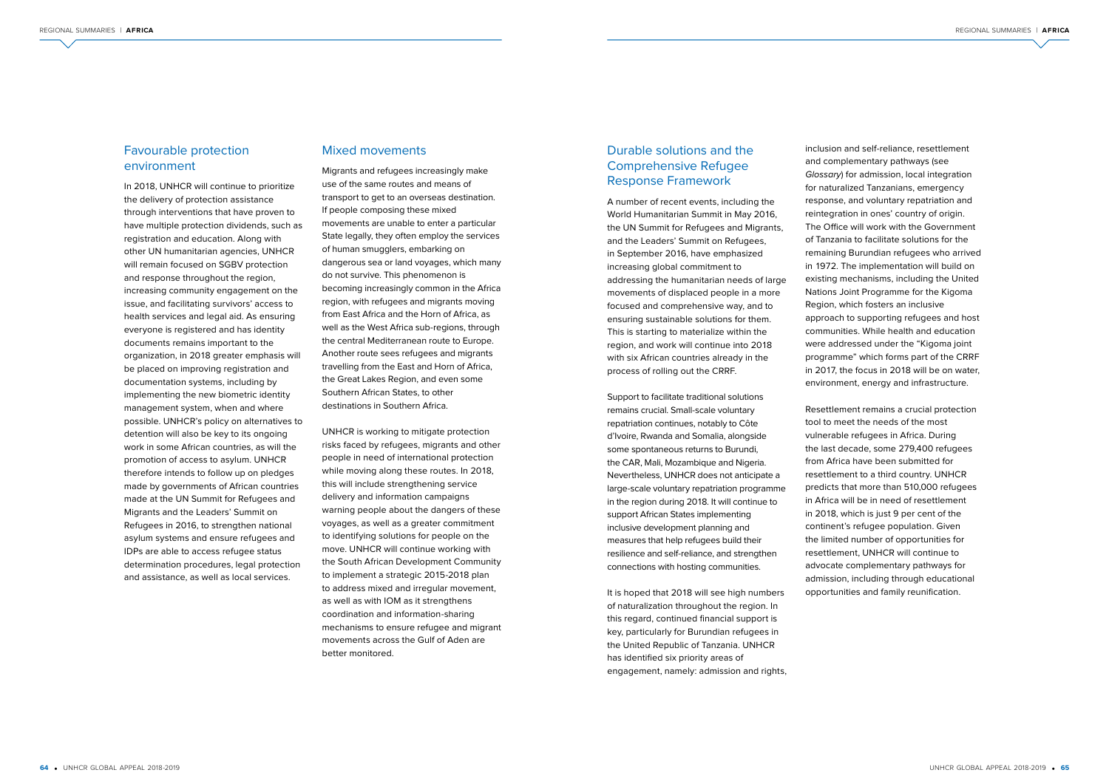## Favourable protection environment

In 2018, UNHCR will continue to prioritize the delivery of protection assistance through interventions that have proven to have multiple protection dividends, such as registration and education. Along with other UN humanitarian agencies, UNHCR will remain focused on SGBV protection and response throughout the region, increasing community engagement on the issue, and facilitating survivors' access to health services and legal aid. As ensuring everyone is registered and has identity documents remains important to the organization, in 2018 greater emphasis will be placed on improving registration and documentation systems, including by implementing the new biometric identity management system, when and where possible. UNHCR's policy on alternatives to detention will also be key to its ongoing work in some African countries, as will the promotion of access to asylum. UNHCR therefore intends to follow up on pledges made by governments of African countries made at the UN Summit for Refugees and Migrants and the Leaders' Summit on Refugees in 2016, to strengthen national asylum systems and ensure refugees and IDPs are able to access refugee status determination procedures, legal protection and assistance, as well as local services.

#### Mixed movements

Migrants and refugees increasingly make use of the same routes and means of transport to get to an overseas destination. If people composing these mixed movements are unable to enter a particular State legally, they often employ the services of human smugglers, embarking on dangerous sea or land voyages, which many do not survive. This phenomenon is becoming increasingly common in the Africa region, with refugees and migrants moving from East Africa and the Horn of Africa, as well as the West Africa sub-regions, through the central Mediterranean route to Europe. Another route sees refugees and migrants travelling from the East and Horn of Africa, the Great Lakes Region, and even some Southern African States, to other destinations in Southern Africa.

UNHCR is working to mitigate protection risks faced by refugees, migrants and other people in need of international protection while moving along these routes. In 2018, this will include strengthening service delivery and information campaigns warning people about the dangers of these voyages, as well as a greater commitment to identifying solutions for people on the move. UNHCR will continue working with the South African Development Community to implement a strategic 2015-2018 plan to address mixed and irregular movement, as well as with IOM as it strengthens coordination and information-sharing mechanisms to ensure refugee and migrant movements across the Gulf of Aden are better monitored.

It is hoped that 2018 will see high numbers of naturalization throughout the region. In this regard, continued financial support is key, particularly for Burundian refugees in the United Republic of Tanzania. UNHCR has identified six priority areas of engagement, namely: admission and rights,

inclusion and self-reliance, resettlement and complementary pathways (see Glossary) for admission, local integration for naturalized Tanzanians, emergency response, and voluntary repatriation and reintegration in ones' country of origin. The Office will work with the Government of Tanzania to facilitate solutions for the remaining Burundian refugees who arrived

in 1972. The implementation will build on existing mechanisms, including the United Nations Joint Programme for the Kigoma Region, which fosters an inclusive approach to supporting refugees and host communities. While health and education were addressed under the "Kigoma joint programme" which forms part of the CRRF in 2017, the focus in 2018 will be on water, environment, energy and infrastructure.

Resettlement remains a crucial protection tool to meet the needs of the most vulnerable refugees in Africa. During the last decade, some 279,400 refugees from Africa have been submitted for resettlement to a third country. UNHCR predicts that more than 510,000 refugees in Africa will be in need of resettlement in 2018, which is just 9 per cent of the continent's refugee population. Given the limited number of opportunities for resettlement, UNHCR will continue to advocate complementary pathways for admission, including through educational opportunities and family reunification.

# Durable solutions and the Comprehensive Refugee Response Framework

A number of recent events, including the World Humanitarian Summit in May 2016, the UN Summit for Refugees and Migrants, and the Leaders' Summit on Refugees, in September 2016, have emphasized increasing global commitment to addressing the humanitarian needs of large movements of displaced people in a more focused and comprehensive way, and to ensuring sustainable solutions for them. This is starting to materialize within the region, and work will continue into 2018 with six African countries already in the process of rolling out the CRRF.

Support to facilitate traditional solutions remains crucial. Small-scale voluntary repatriation continues, notably to Côte d'Ivoire, Rwanda and Somalia, alongside some spontaneous returns to Burundi, the CAR, Mali, Mozambique and Nigeria. Nevertheless, UNHCR does not anticipate a large-scale voluntary repatriation programme in the region during 2018. It will continue to support African States implementing inclusive development planning and measures that help refugees build their resilience and self-reliance, and strengthen connections with hosting communities.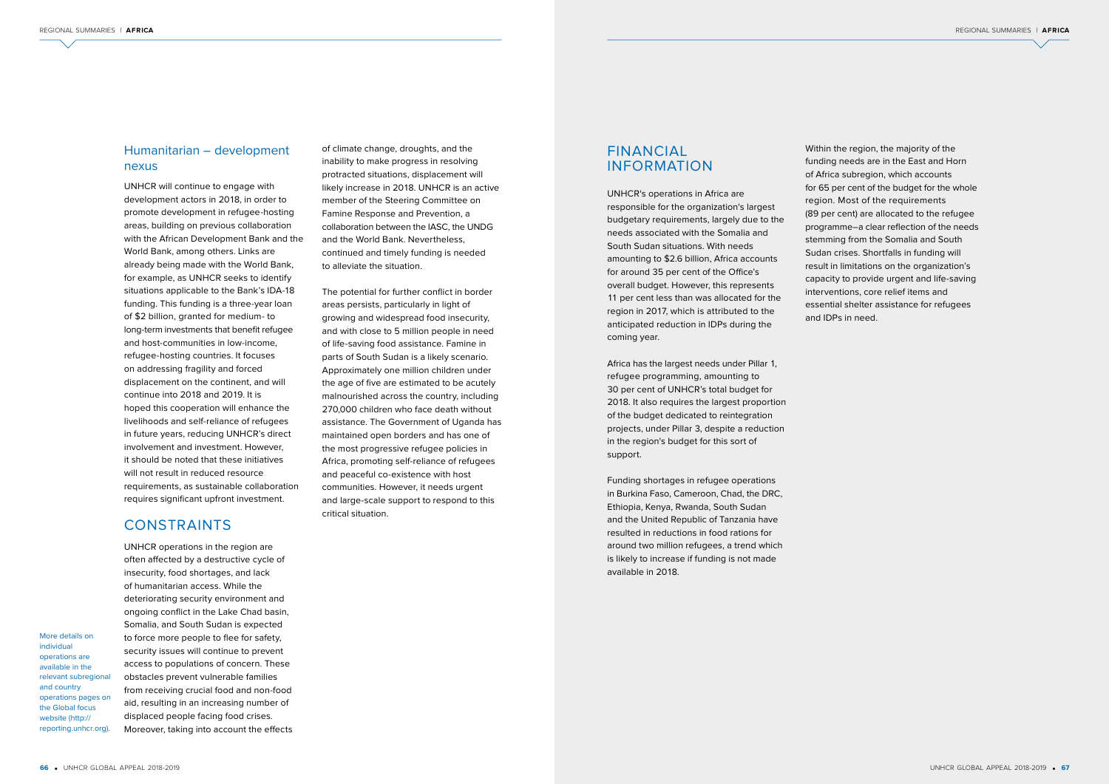# FINANCIAL INFORMATION

UNHCR's operations in Africa are responsible for the organization's largest budgetary requirements, largely due to the needs associated with the Somalia and South Sudan situations. With needs amounting to \$2.6 billion, Africa accounts for around 35 per cent of the Office's overall budget. However, this represents 11 per cent less than was allocated for the region in 2017, which is attributed to the anticipated reduction in IDPs during the coming year.

Africa has the largest needs under Pillar 1, refugee programming, amounting to 30 per cent of UNHCR's total budget for 2018. It also requires the largest proportion of the budget dedicated to reintegration projects, under Pillar 3, despite a reduction in the region's budget for this sort of support.

Funding shortages in refugee operations in Burkina Faso, Cameroon, Chad, the DRC, Ethiopia, Kenya, Rwanda, South Sudan and the United Republic of Tanzania have resulted in reductions in food rations for around two million refugees, a trend which is likely to increase if funding is not made available in 2018.

Within the region, the majority of the funding needs are in the East and Horn of Africa subregion, which accounts for 65 per cent of the budget for the whole region. Most of the requirements (89 per cent) are allocated to the refugee programme–a clear reflection of the needs stemming from the Somalia and South Sudan crises. Shortfalls in funding will result in limitations on the organization's capacity to provide urgent and life-saving interventions, core relief items and essential shelter assistance for refugees and IDPs in need.

## Humanitarian – development nexus

UNHCR will continue to engage with development actors in 2018, in order to promote development in refugee-hosting areas, building on previous collaboration with the African Development Bank and the World Bank, among others. Links are already being made with the World Bank, for example, as UNHCR seeks to identify situations applicable to the Bank's IDA-18 funding. This funding is a three-year loan of \$2 billion, granted for medium- to long-term investments that benefit refugee and host-communities in low-income, refugee-hosting countries. It focuses on addressing fragility and forced displacement on the continent, and will continue into 2018 and 2019. It is hoped this cooperation will enhance the livelihoods and self-reliance of refugees in future years, reducing UNHCR's direct involvement and investment. However, it should be noted that these initiatives will not result in reduced resource requirements, as sustainable collaboration requires significant upfront investment.

# CONSTRAINTS

UNHCR operations in the region are often affected by a destructive cycle of insecurity, food shortages, and lack of humanitarian access. While the deteriorating security environment and ongoing conflict in the Lake Chad basin, Somalia, and South Sudan is expected to force more people to flee for safety, security issues will continue to prevent access to populations of concern. These obstacles prevent vulnerable families from receiving crucial food and non-food aid, resulting in an increasing number of displaced people facing food crises.

Moreover, taking into account the effects

More details on

individual operations are available in the relevant subregional and country operations pages on the Global focus website (http:// reporting.unhcr.org). of climate change, droughts, and the inability to make progress in resolving protracted situations, displacement will likely increase in 2018. UNHCR is an active member of the Steering Committee on Famine Response and Prevention, a collaboration between the IASC, the UNDG and the World Bank. Nevertheless, continued and timely funding is needed to alleviate the situation.

The potential for further conflict in border areas persists, particularly in light of growing and widespread food insecurity, and with close to 5 million people in need of life-saving food assistance. Famine in parts of South Sudan is a likely scenario. Approximately one million children under the age of five are estimated to be acutely malnourished across the country, including 270,000 children who face death without assistance. The Government of Uganda has maintained open borders and has one of the most progressive refugee policies in Africa, promoting self-reliance of refugees and peaceful co-existence with host communities. However, it needs urgent and large-scale support to respond to this critical situation.